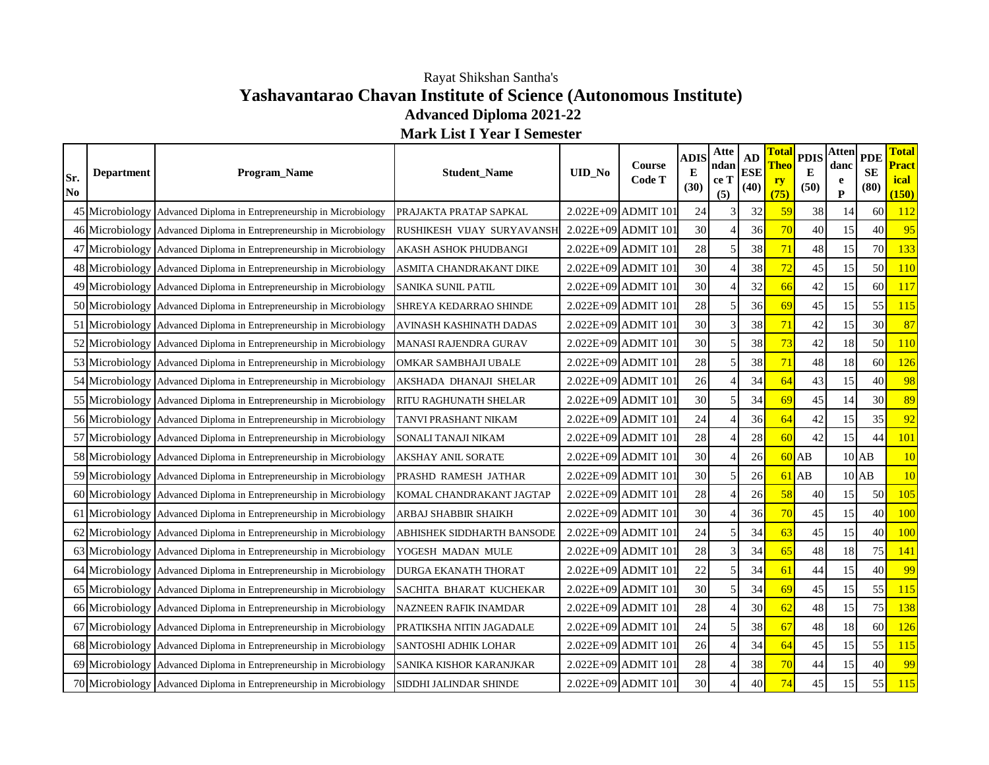## **Yashavantarao Chavan Institute of Science (Autonomous Institute) Advanced Diploma 2021-22** Rayat Shikshan Santha's

**Mark List I Year I Semester**

| Sr.<br>No | <b>Department</b> | Program_Name                                                         | <b>Student Name</b>          | <b>UID_No</b> | <b>Course</b><br>Code T | <b>ADIS</b><br>E<br>(30) | Atte<br>ndan<br>ce T<br>(5) | AD<br><b>ESE</b><br>(40) | <b>Total</b><br><b>Theo</b><br>ry<br>(75) | <b>PDIS</b><br>Е<br>(50) | <b>Atten</b><br>danc<br>e<br>$\mathbf{P}$ | <b>PDE</b><br><b>SE</b><br>(80) | <b>Total</b><br><b>Pract</b><br>ical<br>(150) |
|-----------|-------------------|----------------------------------------------------------------------|------------------------------|---------------|-------------------------|--------------------------|-----------------------------|--------------------------|-------------------------------------------|--------------------------|-------------------------------------------|---------------------------------|-----------------------------------------------|
|           |                   | 45 Microbiology Advanced Diploma in Entrepreneurship in Microbiology | PRAJAKTA PRATAP SAPKAL       |               | 2.022E+09 ADMIT 101     | 24                       | 3                           | 32                       | 59                                        | 38                       | 14                                        | 60                              | 112                                           |
|           |                   | 46 Microbiology Advanced Diploma in Entrepreneurship in Microbiology | RUSHIKESH VIJAY SURYAVANSH   |               | $2.022E+09$ ADMIT 101   | 30                       |                             | 36                       | 70                                        | 40                       | 15                                        | 40                              | 95                                            |
|           |                   | 47 Microbiology Advanced Diploma in Entrepreneurship in Microbiology | AKASH ASHOK PHUDBANGI        |               | 2.022E+09 ADMIT 101     | 28                       | 5                           | 38                       | 71                                        | 48                       | 15                                        | 70                              | 133                                           |
|           |                   | 48 Microbiology Advanced Diploma in Entrepreneurship in Microbiology | ASMITA CHANDRAKANT DIKE      |               | 2.022E+09 ADMIT 101     | 30                       | $\overline{4}$              | 38                       | 72                                        | 45                       | 15                                        | 50                              | <b>110</b>                                    |
|           |                   | 49 Microbiology Advanced Diploma in Entrepreneurship in Microbiology | SANIKA SUNIL PATIL           |               | 2.022E+09 ADMIT 101     | 30                       |                             | 32                       | 66                                        | 42                       | 15                                        | 60                              | <b>117</b>                                    |
|           |                   | 50 Microbiology Advanced Diploma in Entrepreneurship in Microbiology | SHREYA KEDARRAO SHINDE       |               | 2.022E+09 ADMIT 101     | 28                       | 5                           | 36                       | 69                                        | 45                       | 15                                        | 55                              | 115                                           |
|           |                   | 51 Microbiology Advanced Diploma in Entrepreneurship in Microbiology | AVINASH KASHINATH DADAS      |               | 2.022E+09 ADMIT 101     | 30                       | 3                           | 38                       | 71                                        | 42                       | 15                                        | 30                              | 87                                            |
|           |                   | 52 Microbiology Advanced Diploma in Entrepreneurship in Microbiology | MANASI RAJENDRA GURAV        |               | 2.022E+09 ADMIT 101     | 30                       | 5                           | 38                       | 73                                        | 42                       | 18                                        | 50                              | 110                                           |
|           |                   | 53 Microbiology Advanced Diploma in Entrepreneurship in Microbiology | OMKAR SAMBHAJI UBALE         |               | 2.022E+09 ADMIT 101     | 28                       | 5                           | 38                       | 71                                        | 48                       | 18                                        | 60                              | 126                                           |
|           |                   | 54 Microbiology Advanced Diploma in Entrepreneurship in Microbiology | AKSHADA DHANAJI SHELAR       |               | 2.022E+09 ADMIT 101     | 26                       | $\overline{4}$              | 34                       | 64                                        | 43                       | 15                                        | 40                              | 98                                            |
|           |                   | 55 Microbiology Advanced Diploma in Entrepreneurship in Microbiology | <b>RITU RAGHUNATH SHELAR</b> |               | 2.022E+09 ADMIT 101     | 30                       | 5                           | 34                       | 69                                        | 45                       | 14                                        | 30                              | 89                                            |
|           |                   | 56 Microbiology Advanced Diploma in Entrepreneurship in Microbiology | TANVI PRASHANT NIKAM         |               | 2.022E+09 ADMIT 101     | 24                       |                             | 36                       | 64                                        | 42                       | 15                                        | 35                              | 92                                            |
|           |                   | 57 Microbiology Advanced Diploma in Entrepreneurship in Microbiology | SONALI TANAJI NIKAM          |               | 2.022E+09 ADMIT 101     | 28                       |                             | 28                       | 60                                        | 42                       | 15                                        | 44                              | 101                                           |
|           |                   | 58 Microbiology Advanced Diploma in Entrepreneurship in Microbiology | <b>AKSHAY ANIL SORATE</b>    |               | 2.022E+09 ADMIT 101     | 30                       | $\overline{4}$              | 26                       | 60                                        | AB                       |                                           | $10$ AB                         | 10                                            |
|           |                   | 59 Microbiology Advanced Diploma in Entrepreneurship in Microbiology | PRASHD RAMESH JATHAR         |               | 2.022E+09 ADMIT 101     | 30                       | 5                           | 26                       | 61                                        | AB                       |                                           | $10$ $AB$                       | 10                                            |
|           |                   | 60 Microbiology Advanced Diploma in Entrepreneurship in Microbiology | KOMAL CHANDRAKANT JAGTAP     |               | 2.022E+09 ADMIT 101     | 28                       |                             | 26                       | 58                                        | 40                       | 15                                        | 50                              | 105                                           |
|           |                   | 61 Microbiology Advanced Diploma in Entrepreneurship in Microbiology | ARBAJ SHABBIR SHAIKH         |               | 2.022E+09 ADMIT 101     | 30                       | $\overline{4}$              | 36                       | 70                                        | 45                       | 15                                        | 40                              | 100                                           |
|           |                   | 62 Microbiology Advanced Diploma in Entrepreneurship in Microbiology | ABHISHEK SIDDHARTH BANSODE   |               | 2.022E+09 ADMIT 101     | 24                       | 5                           | 34                       | 63                                        | 45                       | 15                                        | 40                              | 100                                           |
|           |                   | 63 Microbiology Advanced Diploma in Entrepreneurship in Microbiology | YOGESH MADAN MULE            |               | 2.022E+09 ADMIT 101     | 28                       | 3                           | 34                       | 65                                        | 48                       | 18                                        | 75                              | 141                                           |
|           |                   | 64 Microbiology Advanced Diploma in Entrepreneurship in Microbiology | DURGA EKANATH THORAT         |               | 2.022E+09 ADMIT 101     | 22                       | 5                           | 34                       | 61                                        | 44                       | 15                                        | 40                              | 99                                            |
|           |                   | 65 Microbiology Advanced Diploma in Entrepreneurship in Microbiology | SACHITA BHARAT KUCHEKAR      |               | 2.022E+09 ADMIT 101     | 30                       | 5                           | 34                       | 69                                        | 45                       | 15                                        | 55                              | 115                                           |
|           |                   | 66 Microbiology Advanced Diploma in Entrepreneurship in Microbiology | NAZNEEN RAFIK INAMDAR        |               | 2.022E+09 ADMIT 101     | 28                       |                             | 30                       | 62                                        | 48                       | 15                                        | 75                              | 138                                           |
|           |                   | 67 Microbiology Advanced Diploma in Entrepreneurship in Microbiology | PRATIKSHA NITIN JAGADALE     |               | 2.022E+09 ADMIT 101     | 24                       | 5                           | 38                       | 67                                        | 48                       | 18                                        | 60                              | 126                                           |
|           |                   | 68 Microbiology Advanced Diploma in Entrepreneurship in Microbiology | SANTOSHI ADHIK LOHAR         |               | 2.022E+09 ADMIT 101     | 26                       | $\overline{4}$              | 34                       | 64                                        | 45                       | 15                                        | 55                              | 115                                           |
|           |                   | 69 Microbiology Advanced Diploma in Entrepreneurship in Microbiology | SANIKA KISHOR KARANJKAR      |               | 2.022E+09 ADMIT 101     | 28                       | $\overline{4}$              | 38                       | 70                                        | 44                       | 15                                        | 40                              | 99                                            |
|           |                   | 70 Microbiology Advanced Diploma in Entrepreneurship in Microbiology | SIDDHI JALINDAR SHINDE       |               | 2.022E+09 ADMIT 101     | 30                       |                             | 40                       | 74                                        | 45                       | 15                                        | 55                              | 115                                           |